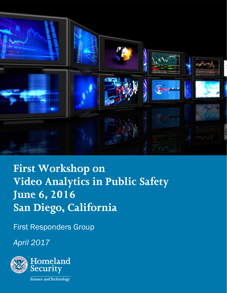

**First Workshop on Video Analytics in Public Safety June 6, 2016 San Diego, California**

First Responders Group

*April 2017*



**Science and Technology**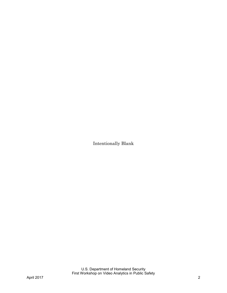Intentionally Blank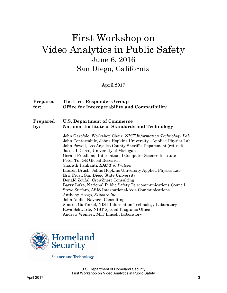# First Workshop on Video Analytics in Public Safety June 6, 2016 San Diego, California

**April 2017**

#### **Prepared for: The First Responders Group Office for Interoperability and Compatibility**

#### **Prepared by: U.S. Department of Commerce National Institute of Standards and Technology**

John Garofolo, Workshop Chair, *NIST Information Technology Lab* John Contestabile, Johns Hopkins University - Applied Physics Lab John Powell, Los Angeles County Sheriff's Department (retired) Jason J. Corso, University of Michigan Gerald Friedland, International Computer Science Institute Peter Tu, GE Global Research Sharath Pankanti, *IBM T.J. Watson* Lauren Brush, Johns Hopkins University Applied Physics Lab Eric Frost, San Diego State University Donald Zoufal, CrowZnest Consulting Barry Luke, National Public Safety Telecommunications Council Steve Surfaro, ASIS International/Axis Communications Anthony Hoogs, *Kitware Inc.* John Audia, Navarro Consulting Simson Garfinkel, NIST Information Technology Laboratory Reva Schwartz, NIST Special Programs Office Andrew Weinert, MIT Lincoln Laboratory



**Science and Technology** 

U.S. Department of Homeland Security First Workshop on Video Analytics in Public Safety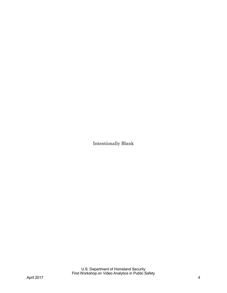Intentionally Blank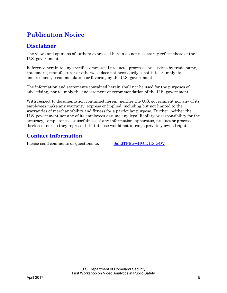# <span id="page-4-0"></span>**Publication Notice**

### <span id="page-4-1"></span>**Disclaimer**

The views and opinions of authors expressed herein do not necessarily reflect those of the U.S. government.

Reference herein to any specific commercial products, processes or services by trade name, trademark, manufacturer or otherwise does not necessarily constitute or imply its endorsement, recommendation or favoring by the U.S. government.

The information and statements contained herein shall not be used for the purposes of advertising, nor to imply the endorsement or recommendation of the U.S. government.

With respect to documentation contained herein, neither the U.S. government nor any of its employees make any warranty, express or implied, including but not limited to the warranties of merchantability and fitness for a particular purpose. Further, neither the U.S. government nor any of its employees assume any legal liability or responsibility for the accuracy, completeness or usefulness of any information, apparatus, product or process disclosed; nor do they represent that its use would not infringe privately owned rights.

### <span id="page-4-2"></span>**Contact Information**

Please send comments or questions to: [SandTFRG@HQ.DHS.GOV](mailto:SandTFRG@HQ.DHS.GOV?subject=First%20Workshop%20on%20Video%20Analytics%20in%20Public%20Safety)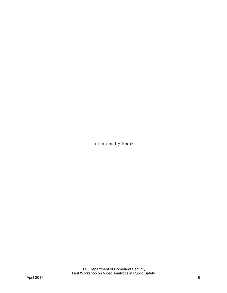Intentionally Blank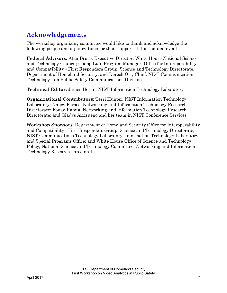## **Acknowledgements**

The workshop organizing committee would like to thank and acknowledge the following people and organizations for their support of this seminal event:

**Federal Advisors:** Afua Bruce, Executive Director, White House National Science and Technology Council; Cuong Luu, Program Manager, Office for Interoperability and Compatibility - First Responders Group, Science and Technology Directorate, Department of Homeland Security; and Dereck Orr, Chief, NIST Communication Technology Lab Public Safety Communications Division

**Technical Editor:** James Horan, NIST Information Technology Laboratory

**Organizational Contributors:** Terri Hunter, NIST Information Technology Laboratory; Nancy Forbes, Networking and Information Technology Research Directorate; Fouad Ramia, Networking and Information Technology Research Directorate; and Gladys Arrisueno and her team in NIST Conference Services

**Workshop Sponsors:** Department of Homeland Security Office for Interoperability and Compatibility - First Responders Group, Science and Technology Directorate; NIST Communications Technology Laboratory, Information Technology Laboratory, and Special Programs Office; and White House Office of Science and Technology Policy, National Science and Technology Committee, Networking and Information Technology Research Directorate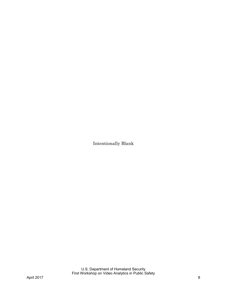Intentionally Blank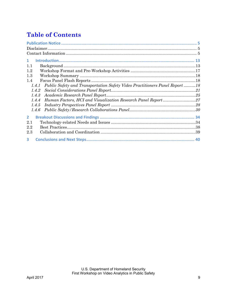# **Table of Contents**

| $\mathbf{1}$                                                                         |  |
|--------------------------------------------------------------------------------------|--|
| 1.1                                                                                  |  |
| 1.2                                                                                  |  |
| 1.3                                                                                  |  |
| 1.4                                                                                  |  |
| Public Safety and Transportation Safety Video Practitioners Panel Report 18<br>1.4.1 |  |
| 1.4.2                                                                                |  |
| 1.4.3                                                                                |  |
| 1.4.4                                                                                |  |
| 1.4.5                                                                                |  |
| 1.4.6                                                                                |  |
| $\overline{2}$                                                                       |  |
| 2.1                                                                                  |  |
| 2.2                                                                                  |  |
| 2.3                                                                                  |  |
| 3                                                                                    |  |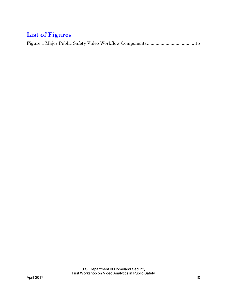# **List of Figures**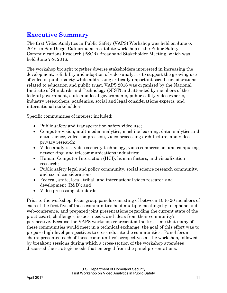### **Executive Summary**

The first Video Analytics in Public Safety (VAPS) Workshop was held on June 6, 2016, in San Diego, California as a satellite workshop of the Public Safety Communications Research (PSCR) Broadband Stakeholder Meeting, which was held June 7-9, 2016.

The workshop brought together diverse stakeholders interested in increasing the development, reliability and adoption of video analytics to support the growing use of video in public safety while addressing critically important social considerations related to education and public trust. VAPS 2016 was organized by the National Institute of Standards and Technology (NIST) and attended by members of the federal government, state and local governments, public safety video experts, industry researchers, academics, social and legal considerations experts, and international stakeholders.

Specific communities of interest included:

- Public safety and transportation safety video use;
- Computer vision, multimedia analytics, machine learning, data analytics and data science, video compression, video processing architecture, and video privacy research;
- Video analytics, video security technology, video compression, and computing, networking, and telecommunications industries;
- Human-Computer Interaction (HCI), human factors, and visualization research;
- Public safety legal and policy community, social science research community, and social considerations;
- Federal, state, local, tribal, and international video research and development (R&D); and
- Video processing standards.

Prior to the workshop, focus group panels consisting of between 10 to 20 members of each of the first five of these communities held multiple meetings by telephone and web-conference, and prepared joint presentations regarding the current state of the practice/art, challenges, issues, needs, and ideas from their community's perspective. Because the VAPS workshop represented the first time that many of these communities would meet in a technical exchange, the goal of this effort was to prepare high-level perspectives to cross-educate the communities. Panel forum chairs presented each of these communities' perspectives at the workshop, followed by breakout sessions during which a cross-section of the workshop attendees discussed the strategic needs that emerged from the panel presentations.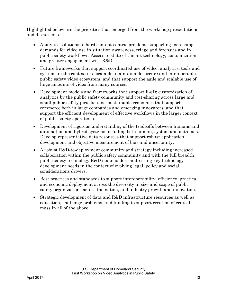Highlighted below are the priorities that emerged from the workshop presentations and discussions.

- Analytics solutions to hard content-centric problems supporting increasing demands for video use in situation awareness, triage and forensics and in public safety workflows. Access to state-of-the-art technology, customization and greater engagement with R&D.
- Future frameworks that support coordinated use of video, analytics, tools and systems in the context of a scalable, maintainable, secure and interoperable public safety video ecosystem, and that support the agile and scalable use of huge amounts of video from many sources.
- Development models and frameworks that support R&D; customization of analytics by the public safety community and cost-sharing across large and small public safety jurisdictions; sustainable economics that support commerce both in large companies and emerging innovators; and that support the efficient development of effective workflows in the larger context of public safety operations.
- Development of rigorous understanding of the tradeoffs between humans and automation and hybrid systems including both human, system and data bias. Develop representative data resources that support robust application development and objective measurement of bias and uncertainty.
- A robust R&D-to-deployment community and strategy including increased collaboration within the public safety community and with the full breadth public safety technology R&D stakeholders addressing key technology development needs in the context of evolving legal, policy and social considerations drivers.
- Best practices and standards to support interoperability, efficiency, practical and economic deployment across the diversity in size and scope of public safety organizations across the nation, and industry growth and innovation.
- Strategic development of data and R&D infrastructure resources as well as education, challenge problems, and funding to support creation of critical mass in all of the above.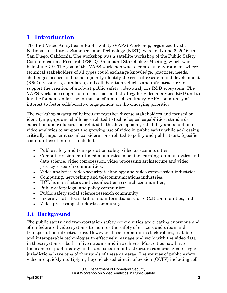## <span id="page-12-0"></span>**1 Introduction**

The first Video Analytics in Public Safety (VAPS) Workshop, organized by the National Institute of Standards and Technology (NIST), was held June 6, 2016, in San Diego, California. The workshop was a satellite workshop of the Public Safety Communications Research (PSCR) Broadband Stakeholder Meeting, which was held June 7-9. The goal of the VAPS workshop was to create an environment where technical stakeholders of all types could exchange knowledge, practices, needs, challenges, issues and ideas to jointly identify the critical research and development (R&D), resources, standards, and collaboration vehicles and infrastructure to support the creation of a robust public safety video analytics R&D ecosystem. The VAPS workshop sought to inform a national strategy for video analytics R&D and to lay the foundation for the formation of a multidisciplinary VAPS community of interest to foster collaborative engagement on the emerging priorities.

The workshop strategically brought together diverse stakeholders and focused on identifying gaps and challenges related to technological capabilities, standards, education and collaboration related to the development, reliability and adoption of video analytics to support the growing use of video in public safety while addressing critically important social considerations related to policy and public trust. Specific communities of interest included:

- Public safety and transportation safety video use communities
- Computer vision, multimedia analytics, machine learning, data analytics and data science, video compression, video processing architecture and video privacy research communities;
- Video analytics, video security technology and video compression industries;
- Computing, networking and telecommunications industries;
- HCI, human factors and visualization research communities;
- Public safety legal and policy community;
- Public safety social science research community;
- Federal, state, local, tribal and international video R&D communities; and
- Video processing standards community.

### <span id="page-12-1"></span>**1.1 Background**

The public safety and transportation safety communities are creating enormous and often-federated video systems to monitor the safety of citizens and urban and transportation infrastructure. However, these communities lack robust, scalable and interoperable technologies to effectively manage and work with the video data in these systems – both in live streams and in archives. Most cities now have thousands of public safety and transportation infrastructure cameras. Some larger jurisdictions have tens of thousands of these cameras. The sources of public safety video are quickly multiplying beyond closed-circuit television (CCTV) including cell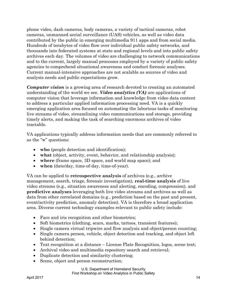phone video, dash cameras, body cameras, a variety of tactical cameras, robot cameras, unmanned aerial surveillance (UAS) vehicles, as well as video data contributed by the public in emerging multimedia 911 apps and from social media. Hundreds of terabytes of video flow over individual public safety networks, and thousands into federated systems at state and regional levels and into public safety archives each day. The volumes of video are challenging to network communications and to the current, largely manual processes employed by a variety of public safety agencies to comprehend situational awareness and conduct forensic analyses. Current manual-intensive approaches are not scalable as sources of video and analysis needs and public expectations grow.

*Computer vision* is a growing area of research devoted to creating an automated understanding of the world we see. *Video analytics (VA)* are applications of computer vision that leverage information and knowledge from video data content to address a particular applied information processing need. VA is a quickly emerging application area focused on automating the laborious tasks of monitoring live streams of video, streamlining video communications and storage, providing timely alerts, and making the task of searching enormous archives of video tractable.

VA applications typically address information needs that are commonly referred to as the "w" questions:

- **who** (people detection and identification);
- **what** (object, activity, event, behavior, and relationship analysis);
- **where** (frame space, 3D space, and world map space); and
- **when** (date/day, time-of-day, time-of-year).

VA can be applied to **retrospective analysis** of archives (e.g., archive management, search, triage, forensic investigation), **real-time analysis** of live video streams (e.g., situation awareness and alerting, encoding, compression), and **predictive analyses** leveraging both live video streams and archives as well as data from other correlated domains (e.g., prediction based on the past and present, event/activity prediction, anomaly detection). VA is therefore a broad application area. Diverse current technology examples relevant to public safety include:

- Face and iris recognition and other biometrics;
- Soft biometrics (clothing, scars, marks, tattoos, transient features);
- Single camera virtual tripwire and flow analysis and object/person counting;
- Single camera person, vehicle, object detection and tracking, and object left behind detection;
- Text recognition at a distance License Plate Recognition, logos, scene text;
- Archival video and multimedia repository search and retrieval;
- Duplicate detection and similarity clustering;
- Scene, object and person reconstruction;

U.S. Department of Homeland Security First Workshop on Video Analytics in Public Safety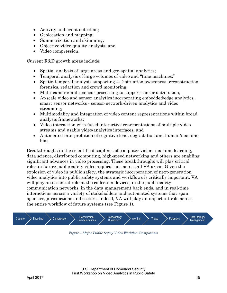- Activity and event detection;
- Geolocation and mapping;
- Summarization and skimming;
- Objective video quality analysis; and
- Video compression.

Current R&D growth areas include:

- Spatial analysis of large areas and geo-spatial analytics;
- Temporal analysis of large volumes of video and "time machines:"
- Spatio-temporal analysis supporting 4-D situation awareness, reconstruction, forensics, redaction and crowd monitoring;
- Multi-camera/multi-sensor processing to support sensor data fusion;
- At-scale video and sensor analytics incorporating embedded/edge analytics, smart sensor networks - sensor-network-driven analytics and video streaming;
- Multimodality and integration of video content representations within broad analysis frameworks;
- Video interaction with fused interactive representations of multiple video streams and usable video/analytics interfaces; and
- Automated interpretation of cognitive load, degradation and human/machine bias.

Breakthroughs in the scientific disciplines of computer vision, machine learning, data science, distributed computing, high-speed networking and others are enabling significant advances in video processing. These breakthroughs will play critical roles in future public safety video applications across all VA areas. Given the explosion of video in public safety, the strategic incorporation of next-generation video analytics into public safety systems and workflows is critically important. VA will play an essential role at the collection devices, in the public safety communication networks, in the data management back ends, and in real-time interactions across a variety of stakeholders and automated systems that span agencies, jurisdictions and sectors. Indeed, VA will play an important role across the entire workflow of future systems (see Figure 1).

<span id="page-14-0"></span>

*Figure 1 Major Public Safety Video Workflow Components*

U.S. Department of Homeland Security First Workshop on Video Analytics in Public Safety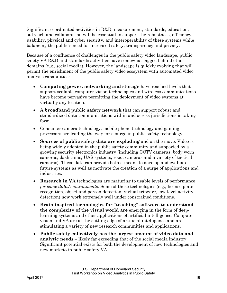Significant coordinated activities in R&D, measurement, standards, education, outreach and collaboration will be essential to support the robustness, efficiency, usability, physical and cyber security, and interoperability of these systems while balancing the public's need for increased safety, transparency and privacy.

Because of a confluence of challenges in the public safety video landscape, public safety VA R&D and standards activities have somewhat lagged behind other domains (e.g., social media). However, the landscape is quickly evolving that will permit the enrichment of the public safety video ecosystem with automated video analysis capabilities:

- **Computing power, networking and storage** have reached levels that support scalable computer vision technologies and wireless communications have become pervasive permitting the deployment of video systems at virtually any location.
- **A broadband public safety network** that can support robust and standardized data communications within and across jurisdictions is taking form.
- Consumer camera technology, mobile phone technology and gaming processors are leading the way for a surge in public safety technology.
- **Sources of public safety data are exploding** and on the move. Video is being widely adopted in the public safety community and supported by a growing security electronics industry (including CCTV cameras, body worn cameras, dash cams, UAS systems, robot cameras and a variety of tactical cameras). These data can provide both a means to develop and evaluate future systems as well as motivate the creation of a surge of applications and industries.
- **Research in VA** technologies are maturing to usable levels of performance *for some data/environments.* Some of these technologies (e.g., license plate recognition, object and person detection, virtual tripwire, low-level activity detection) now work extremely well under constrained conditions*.*
- **Brain-inspired technologies for "teaching" software to understand the complexity of the visual world are** emerging in the form of deeplearning systems and other applications of artificial intelligence. Computer vision and VA are at the cutting edge of artificial intelligence and are stimulating a variety of new research communities and applications.
- **Public safety collectively has the largest amount of video data and analytic needs** – likely far exceeding that of the social media industry. Significant potential exists for both the development of new technologies and new markets in public safety VA.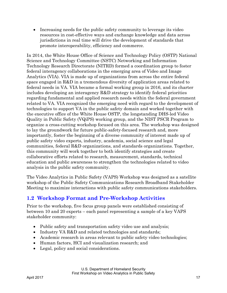• Increasing needs for the public safety community to leverage its video resources in cost-effective ways and exchange knowledge and data across jurisdictions in real time will drive the development of standards that promote interoperability, efficiency and commerce.

In 2014, the White House Office of Science and Technology Policy (OSTP) National Science and Technology Committee (NSTC) Networking and Information Technology Research Directorate (NITRD) formed a coordination group to foster federal interagency collaborations in the emerging area of Video and Image Analytics (VIA). VIA is made up of organizations from across the entire federal space engaged in R&D in a tremendous diversity of application areas related to federal needs in VA. VIA became a formal working group in 2016, and its charter includes developing an interagency R&D strategy to identify federal priorities regarding fundamental and applied research needs within the federal government related to VA. VIA recognized the emerging need with regard to the development of technologies to support VA in the public safety domain and worked together with the executive office of the White House OSTP, the longstanding DHS-led Video Quality in Public Safety (VQiPS) working group, and the NIST PSCR Program to organize a cross-cutting workshop focused on this area. The workshop was designed to lay the groundwork for future public-safety-focused research and, more importantly, foster the beginning of a diverse community of interest made up of public safety video experts, industry, academia, social science and legal communities, federal R&D organizations, and standards organizations. Together, this community will work together to both identify strategies and create collaborative efforts related to research, measurement, standards, technical education and public awareness to strengthen the technologies related to video analysis in the public safety community.

The Video Analytics in Public Safety (VAPS) Workshop was designed as a satellite workshop of the Public Safety Communications Research Broadband Stakeholder Meeting to maximize interactions with public safety communications stakeholders.

### <span id="page-16-0"></span>**1.2 Workshop Format and Pre-Workshop Activities**

Prior to the workshop, five focus group panels were established consisting of between 10 and 20 experts – each panel representing a sample of a key VAPS stakeholder community:

- Public safety and transportation safety video use and analysis;
- Industry VA R&D and related technologies and standards;
- Academic research in areas relevant to public safety video technologies;
- Human factors, HCI and visualization research; and
- Legal, policy and social considerations.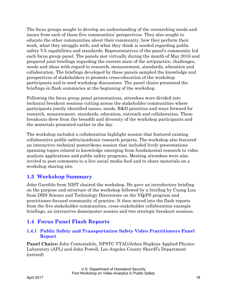The focus groups sought to develop an understanding of the overarching needs and issues from each of these five communities' perspectives. They also sought to educate the other communities about their community, how they perform their work, what they struggle with, and what they think is needed regarding public safety VA capabilities and standards. Representatives of the panel's community led each focus group panel. The panels met virtually during the month of May 2016 and prepared joint briefings regarding the current state of the art/practice, challenges, needs and ideas with regard to research, measurement, standards, education and collaboration. The briefings developed by these panels sampled the knowledge and perspectives of stakeholders to promote cross-education of the workshop participants and to seed workshop discussions. The panel chairs presented the briefings in flash summaries at the beginning of the workshop.

Following the focus group panel presentations, attendees were divided into technical breakout sessions cutting across the stakeholder communities where participants jointly identified issues, needs, R&D priorities and ways forward for research, measurement, standards, education, outreach and collaboration. These breakouts drew from the breadth and diversity of the workshop participants and the materials presented earlier in the day.

The workshop included a collaboration highlight session that featured existing collaborative public safety/academic research projects. The workshop also featured an interactive technical poster/demo session that included lively presentations spanning topics related to knowledge emerging from fundamental research to video analysis applications and public safety programs. Meeting attendees were also invited to post comments to a live social media feed and to share materials on a workshop sharing site.

### <span id="page-17-0"></span>**1.3 Workshop Summary**

John Garofolo from NIST chaired the workshop. He gave an introductory briefing on the purpose and structure of the workshop followed by a briefing by Cuong Luu from DHS Science and Technology Directorate on the VQiPS program and practitioner-focused community of practice. It then moved into the flash reports from the five stakeholder communities, cross-stakeholder collaboration example briefings, an interactive demo/poster session and two strategic breakout sessions.

### <span id="page-17-1"></span>**1.4 Focus Panel Flash Reports**

#### <span id="page-17-2"></span>**1.4.1 Public Safety and Transportation Safety Video Practitioners Panel Report**

**Panel Chairs:** John Contestabile, NPSTC VTAG/Johns Hopkins Applied Physics Laboratory (APL) and John Powell, Los Angeles County Sheriff's Department (retired)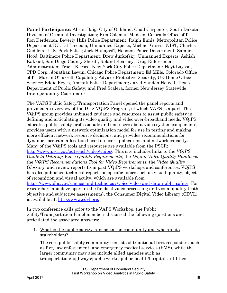**Panel Participants:** Ahsan Baig, City of Oakland; Chad Carpenter, South Dakota Division of Criminal Investigation; Kim Coleman-Madsen, Colorado Office of IT; Ron Derderian, Beverly Hills Police Department; Ralph Ennis, Metropolitan Police Department DC; Ed Freebom, Unmanned Experts; Michael Garris, NIST; Charles Guddemi, U.S. Park Police; Jack Hanagriff, Houston Police Department; Samuel Hood, Baltimore Police Department; Drew Jurkofsky, Unmanned Experts; Ashish Kakkad, San Diego County Sheriff; Roland Kearney, Drug Enforcement Administration; Tracie Keesee, New York City Police Department; Hoyt Layson, TPD Corp.; Jonathan Lewin, Chicago Police Department; Ed Mills, Colorado Office of IT; Martin O'Farrell, Capability Adviser Protective Security, UK Home Office Science; Eddie Reyes, Amtrak Police Department; Jared Vanden Heuvel, Texas Department of Public Safety; and Fred Scalera, former New Jersey Statewide Interoperability Coordinator.

The VAPS Public Safety/Transportation Panel opened the panel reports and provided an overview of the DHS VQiPS Program, of which VAPS is a part. The VQiPS group provides unbiased guidance and resources to assist public safety in defining and articulating its video quality and video-over-broadband needs. VQiPS educates public safety professionals and end users about video system components; provides users with a network optimization model for use in testing and making more efficient network resource decisions; and provides recommendations for dynamic spectrum allocation based on user applications and network capacity. Many of the VQiPS tools and resources are available from the PSCR: [http://www.pscr.gov/outreach/video/vqips/.](http://www.pscr.gov/outreach/video/vqips/) This site includes links to the *VQiPS Guide to Defining Video Quality Requirements*, the *Digital Video Quality Handbook*, the *VQiPS Recommendations Tool for Video Requirements*, the *Video Quality Glossary*, and review reports from past VQiPS workshops and conferences. VQiPS has also published technical reports on specific topics such as visual quality, object of recognition and visual acuity, which are available from [https://www.dhs.gov/science-and-technology/voice-video-and-data-public-safety.](https://www.dhs.gov/science-and-technology/voice-video-and-data-public-safety) For researchers and developers in the fields of video processing and visual quality (both objective and subjective assessments), the Consumer Digital Video Library (CDVL) is available at: [http://www.cdvl.org/.](http://www.cdvl.org/)

In two conference calls prior to the VAPS Workshop, the Public Safety/Transportation Panel members discussed the following questions and articulated the associated answers:

1. What is the public safety/transportation community and who are its stakeholders?

The core public safety community consists of traditional first responders such as fire, law enforcement, and emergency medical services (EMS), while the larger community may also include allied agencies such as transportation/highways/public works, public health/hospitals, utilities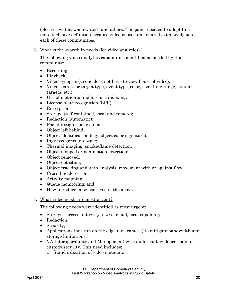(electric, water, wastewater), and others. The panel decided to adopt this more inclusive definition because video is used and shared extensively across each of these communities.

2. What is the growth in needs (for video analytics)?

The following video analytics capabilities identified as needed by this community:

- Recording;
- Playback;
- Video synopsis (so one does not have to view hours of video);
- Video search for target type, event type, color, size, time range, similar targets, etc.;
- Use of metadata and forensic indexing;
- License plate recognition (LPR);
- Encryption;
- Storage (self-contained, local and remote);
- Redaction (automatic);
- Facial recognition systems;
- Object left behind;
- Object identification (e.g., object color signature);
- Ingress/egress into zone;
- Thermal imaging, smoke/flame detection;
- Object stopped or non-motion detection;
- Object removed;
- Object detection;
- Object tracking and path analysis, movement with or against flow;
- Cross-line detection:
- Activity mapping;
- Queue monitoring; and
- How to reduce false positives in the above.
- 3. What video needs are most urgent?

The following needs were identified as most urgent:

- Storage access, integrity, size of cloud, local capability;
- Redaction:
- Security;
- Applications that run on the edge (i.e., camera) to mitigate bandwidth and storage limitations;
- VA Interoperability and Management with audit trail/evidence chain of custody/security. This need includes:
	- o Standardization of video metadata;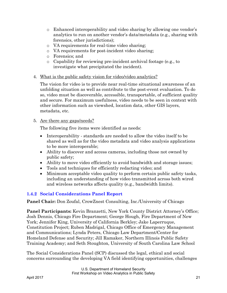- o Enhanced interoperability and video sharing by allowing one vendor's analytics to run on another vendor's data/metadata (e.g., sharing with forensics, other jurisdictions);
- o VA requirements for real-time video sharing;
- o VA requirements for post-incident video sharing;
- o Forensics; and
- o Capability for reviewing pre-incident archival footage (e.g., to investigate what precipitated the incident).
- 4. What is the public safety vision for video/video analytics?

The vision for video is to provide near real-time situational awareness of an unfolding situation as well as contribute to the post-event evaluation. To do so, video must be discoverable, accessible, transportable, of sufficient quality and secure. For maximum usefulness, video needs to be seen in context with other information such as viewshed, location data, other GIS layers, metadata, etc.

5. Are there any gaps/needs?

The following five items were identified as needs:

- Interoperability standards are needed to allow the video itself to be shared as well as for the video metadata and video analysis applications to be more interoperable;
- Ability to discover and access cameras, including those not owned by public safety;
- Ability to move video efficiently to avoid bandwidth and storage issues;
- Tools and techniques for efficiently redacting video; and
- Minimum acceptable video quality to perform certain public safety tasks, including an understanding of how video transmitted across both wired and wireless networks affects quality (e.g., bandwidth limits).

### <span id="page-20-0"></span>**1.4.2 Social Considerations Panel Report**

**Panel Chair:** Don Zoufal, CrowZnest Consulting, Inc./University of Chicago

**Panel Participants:** Kevin Branzetti, New York County District Attorney's Office; Josh Dennis, Chicago Fire Department; George Hough, Fire Department of New York; Jennifer King, University of California Berkley; Jake Laperruque, Constitution Project; Ruben Madrigal, Chicago Office of Emergency Management and Communications; Lynda Peters, Chicago Law Department/Center for Homeland Defense and Security; Jill Ramaker, Northern Illinois Public Safety Training Academy; and Seth Stoughton, University of South Carolina Law School

The Social Considerations Panel (SCP) discussed the legal, ethical and social concerns surrounding the developing VA field identifying opportunities, challenges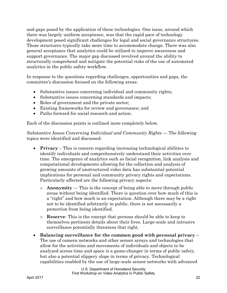and gaps posed by the application of these technologies. One issue, around which there was largely uniform acceptance, was that the rapid pace of technology development posed significant challenges for legal and social governance structures. Those structures typically take more time to accommodate change. There was also general acceptance that analytics could be utilized to improve awareness and support governance. The major gap discussed revolved around the ability to structurally comprehend and mitigate the potential risks of the use of automated analytics in the public safety workflow.

In response to the questions regarding challenges, opportunities and gaps, the committee's discussion focused on the following areas:

- Substantive issues concerning individual and community rights;
- Substantive issues concerning standards and impacts;
- Roles of government and the private sector;
- Existing frameworks for review and governance; and
- Paths forward for social research and action.

Each of the discussion points is outlined more completely below.

*Substantive Issues Concerning Individual and Community Rights* — The following topics were identified and discussed:

- **Privacy** This is concern regarding increasing technological abilities to identify individuals and comprehensively understand their activities over time. The emergence of analytics such as facial recognition, link analysis and computational developments allowing for the collection and analysis of growing amounts of unstructured video data has substantial potential implications for personal and community privacy rights and expectations. Particularly affected are the following privacy aspects:
	- o **Anonymity** This is the concept of being able to move through public areas without being identified. There is question over how much of this is a "right" and how much is an expectation. Although there may be a right not to be identified arbitrarily in public, there is not necessarily a protection from being identified.
	- o **Reserve** This is the concept that persons should be able to keep to themselves pertinent details about their lives. Large-scale and intrusive surveillance potentially threatens that right.
- **Balancing surveillance for the common good with personal privacy**  The use of camera networks and other sensor arrays and technologies that allow for the activities and movements of individuals and objects to be analyzed across time and space is a game-changer in terms of public safety, but also a potential slippery slope in terms of privacy. Technological capabilities enabled by the use of large-scale sensor networks with advanced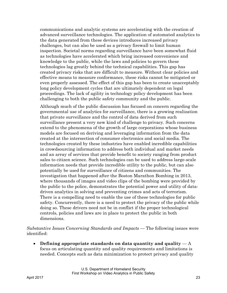communications and analytic systems are accelerating with the creation of advanced surveillance technologies. The application of automated analytics to the data generated from these devices introduces increased privacy challenges, but can also be used as a privacy firewall to limit human inspection. Societal norms regarding surveillance have been somewhat fluid as technologies have accelerated which bring increased convenience and knowledge to the public, while the laws and policies to govern these technologies lag greatly behind the technical capabilities. This gap has created privacy risks that are difficult to measure. Without clear policies and effective means to measure conformance, these risks cannot be mitigated or even properly assessed. The effect of this gap has been to create unacceptably long policy development cycles that are ultimately dependent on legal proceedings. The lack of agility in technology policy development has been challenging to both the public safety community and the public.

Although much of the public discussion has focused on concern regarding the governmental use of analytics for surveillance, there is a growing realization that private surveillance and the control of data derived from such surveillance present a very new kind of challenge to privacy. Such concerns extend to the phenomena of the growth of large corporations whose business models are focused on deriving and leveraging information from the data created at the intersection of consumer electronics and social media. The technologies created by these industries have enabled incredible capabilities in crowdsourcing information to address both individual and market needs and an array of services that provide benefit to society ranging from product sales to citizen science. Such technologies can be used to address large-scale information needs that provide incredible utility to the public, but can also potentially be used for surveillance of citizens and communities. The investigation that happened after the Boston Marathon Bombing in 2013, where thousands of images and video clips of the bombing were provided by the public to the police, demonstrates the potential power and utility of datadriven analytics in solving and preventing crimes and acts of terrorism. There is a compelling need to enable the use of these technologies for public safety. Concurrently, there is a need to protect the privacy of the public while doing so. These drivers need not be in conflict if the proper technological controls, policies and laws are in place to protect the public in both dimensions.

*Substantive Issues Concerning Standards and Impacts* — The following issues were identified:

• **Defining appropriate standards on data quantity and quality** — A focus on articulating quantity and quality requirements and limitations is needed. Concepts such as data minimization to protect privacy and quality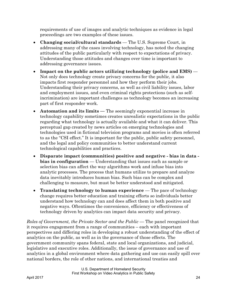requirements of use of images and analytic techniques as evidence in legal proceedings are two examples of these issues.

- **Changing social/cultural standards** The U.S. Supreme Court, in addressing many of the cases involving technology, has noted the changing attitudes of the public particularly with respect to expectations of privacy. Understanding those attitudes and changes over time is important to addressing governance issues.
- **Impact on the public actors utilizing technology (police and EMS)** Not only does technology create privacy concerns for the public, it also impacts first responder personnel and how they perform their jobs. Understanding their privacy concerns, as well as civil liability issues, labor and employment issues, and even criminal rights protections (such as selfincrimination) are important challenges as technology becomes an increasing part of first responder work.
- **Automation and its limits —** The seemingly exponential increase in technology capability sometimes creates unrealistic expectations in the public regarding what technology is actually available and what it can deliver. This perceptual gap created by news articles on emerging technologies and technologies used in fictional television programs and movies is often referred to as the "CSI effect." It is important for the public, public safety personnel, and the legal and policy communities to better understand current technological capabilities and practices.
- **Disparate impact (communities) positive and negative - bias in data bias in configuration** — Understanding that issues such as sample or selection bias can affect the way algorithms work and infuse bias into analytic processes. The process that humans utilize to prepare and analyze data inevitably introduces human bias. Such bias can be complex and challenging to measure, but must be better understood and mitigated.
- **Translating technology to human experience** The pace of technology change requires better education and training efforts so individuals better understand how technology can and does affect them in both positive and negative ways. Oftentimes the convenience, efficiency or effectiveness of technology driven by analytics can impact data security and privacy.

*Roles of Government, the Private Sector and the Public* — The panel recognized that it requires engagement from a range of communities – each with important perspectives and differing roles in developing a robust understanding of the effect of analytics on the public, as well as in the governance of those effects. The government community spans federal, state and local organizations, and judicial, legislative and executive roles. Additionally, the issue of governance and use of analytics in a global environment where data gathering and use can easily spill over national borders, the role of other nations, and international treaties and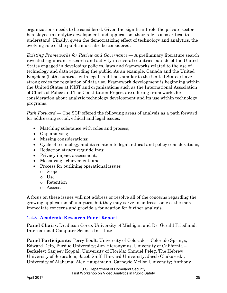organizations needs to be considered. Given the significant role the private sector has played in analytic development and application, their role is also critical to understand. Finally, given the democratizing effect of technology and analytics, the evolving role of the public must also be considered.

*Existing Frameworks for Review and Governance* — A preliminary literature search revealed significant research and activity in several countries outside of the United States engaged in developing policies, laws and frameworks related to the use of technology and data regarding the public. As an example, Canada and the United Kingdom (both countries with legal traditions similar to the United States) have strong codes for regulation of data use. Framework development is beginning within the United States at NIST and organizations such as the International Association of Chiefs of Police and The Constitution Project are offering frameworks for consideration about analytic technology development and its use within technology programs.

*Path Forward* — The SCP offered the following areas of analysis as a path forward for addressing social, ethical and legal issues:

- Matching substance with roles and process;
- Gap analysis;
- Missing considerations;
- Cycle of technology and its relation to legal, ethical and policy considerations;
- Redaction structure/guidelines;
- Privacy impact assessment;
- Measuring achievement; and
- Process for outlining operational issues
	- o Scope
	- o Use
	- o Retention
	- o Access.

A focus on these issues will not address or resolve all of the concerns regarding the growing application of analytics, but they may serve to address some of the more immediate concerns and provide a foundation for further analysis.

#### <span id="page-24-0"></span>**1.4.3 Academic Research Panel Report**

**Panel Chairs:** Dr. Jason Corso, University of Michigan and Dr. Gerald Friedland, International Computer Science Institute

**Panel Participants:** Terry Boult, University of Colorado – Colorado Springs; Edward Delp, Purdue University; Jim Hieronymus, University of California – Berkeley; Sanjeev Koppal, University of Florida; Shmuel Peleg, The Hebrew University of Jerusalem; Jacob Sniff, Harvard University; Jacob Chakareski, University of Alabama; Alex Hauptmann, Carnegie Mellon University; Anthony

> U.S. Department of Homeland Security First Workshop on Video Analytics in Public Safety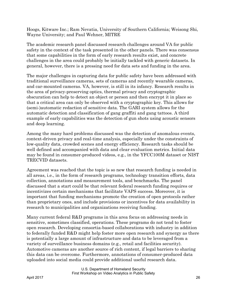Hoogs, Kitware Inc.; Ram Nevatia, University of Southern California; Weisong Shi, Wayne University; and Paul Wehner, MITRE

The academic research panel discussed research challenges around VA for public safety in the context of the task presented in the other panels. There was consensus that some capabilities in the form of early research results exist, and concrete challenges in the area could probably be initially tackled with generic datasets. In general, however, there is a pressing need for data sets and funding in the area.

The major challenges in capturing data for public safety have been addressed with traditional surveillance cameras, sets of cameras and recently wearable cameras, and car-mounted cameras. VA, however, is still in its infancy. Research results in the area of privacy-preserving optics, thermal privacy and cryptographic obscuration can help to detect an object or person and then encrypt it in place so that a critical area can only be observed with a cryptographic key. This allows for (semi-)automatic redaction of sensitive data. The GARI system allows for the automatic detection and classification of gang graffiti and gang tattoos. A third example of early capabilities was the detection of gun shots using acoustic sensors and deep learning.

Among the many hard problems discussed was the detection of anomalous events, context-driven privacy and real-time analysis, especially under the constraints of low-quality data, crowded scenes and energy efficiency. Research tasks should be well defined and accompanied with data and clear evaluation metrics. Initial data may be found in consumer-produced videos, e.g., in the YFCC100M dataset or NIST TRECVID datasets.

Agreement was reached that the topic is so new that research funding is needed in all areas, i.e., in the form of research programs, technology transition efforts, data collection, annotations and measurement tools, and benchmarks. The panel discussed that a start could be that relevant federal research funding requires or incentivizes certain mechanisms that facilitate VAPS success. Moreover, it is important that funding mechanisms promote the creation of open protocols rather than proprietary ones, and include provisions or incentives for data availability in research to municipalities and organizations receiving funding.

Many current federal R&D programs in this area focus on addressing needs in sensitive, sometimes classified, operations. These programs do not tend to foster open research. Developing consortia-based collaborations with industry in addition to federally funded R&D might help foster more open research and synergy as there is potentially a large amount of infrastructure and data to be leveraged from a variety of surveillance business domains (e.g., retail and facilities security). Automotive cameras are another source of rich content, if legal barriers to sharing this data can be overcome. Furthermore, annotations of consumer-produced data uploaded into social media could provide additional useful research data.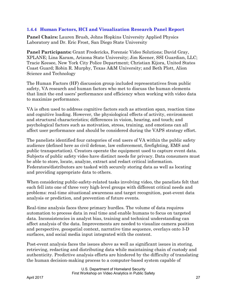#### <span id="page-26-0"></span>**1.4.4 Human Factors, HCI and Visualization Research Panel Report**

**Panel Chairs:** Lauren Brush, Johns Hopkins University Applied Physics Laboratory and Dr. Eric Frost, San Diego State University

**Panel Participants:** Grant Fredericks, Forensic Video Solutions; David Gray, XPLANE; Lina Karam, Arizona State University; Jim Keener, SSI Guardian, LLC; Tracie Keesee, New York City Police Department; Christian Kijora, United States Coast Guard; Robin R. Murphy, Texas A&M University; and Beth Plott, Alion Science and Technology

The Human Factors (HF) discussion group included representatives from public safety, VA research and human factors who met to discuss the human elements that limit the end users' performance and efficiency when working with video data to maximize performance.

VA is often used to address cognitive factors such as attention span, reaction time and cognitive loading. However, the physiological effects of activity, environment and structural characteristics; differences in vision, hearing, and touch; and psychological factors such as motivation, stress, training, and emotions can all affect user performance and should be considered during the VAPS strategy effort.

The panelists identified four categories of end users of VA within the public safety audience (defined here as civil defense, law enforcement, firefighting, EMS and public transportation). Creators operate the equipment used to capture event data. Subjects of public safety video have distinct needs for privacy. Data consumers must be able to store, locate, analyze, extract and redact critical information. Federators/distributors are tasked with securely storing data as well as locating and providing appropriate data to others.

When considering public-safety-related tasks involving video, the panelists felt that each fell into one of three very high-level groups with different critical needs and problems: real-time situational awareness and target recognition, post-event data analysis or prediction, and prevention of future events.

Real-time analysis faces three primary hurdles. The volume of data requires automation to process data in real time and enable humans to focus on targeted data. Inconsistencies in analyst bias, training and technical understanding can affect analysis of the data. Improvements are needed to visualize camera position and perspective, geospatial context, narrative time sequence, overlays onto 3-D surfaces, and social media input integrated with the content.

Post-event analysis faces the issues above as well as significant issues in storing, retrieving, redacting and distributing data while maintaining chain of custody and authenticity. Predictive analysis efforts are hindered by the difficulty of translating the human decision-making process to a computer-based system capable of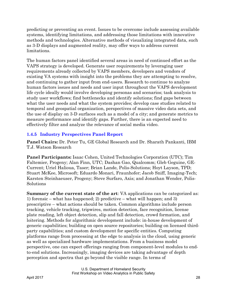predicting or preventing an event. Issues to be overcome include assessing available systems, identifying limitations, and addressing those limitations with innovative methods and technologies. Alternative methods of visualizing integrated data, such as 3-D displays and augmented reality, may offer ways to address current limitations.

The human factors panel identified several areas in need of continued effort as the VAPS strategy is developed. Generate user requirements by leveraging user requirements already collected by VAPS members, developers and vendors of existing VA systems with insight into the problems they are attempting to resolve, and continuing to gather input from end-users. Research to continue to analyze human factors issues and needs and user input throughout the VAPS development life cycle ideally would involve developing personas and scenarios; task analysis to study user workflows; find bottlenecks and identify solutions; find gaps between what the user needs and what the system provides; develop case studies related to temporal and geospatial organization, perspectives of massive video data sets, and the use of display on 3-D surfaces such as a model of a city; and generate metrics to measure performance and identify gaps. Further, there is an expected need to effectively filter and analyze the relevance of social media video.

#### <span id="page-27-0"></span>**1.4.5 Industry Perspectives Panel Report**

**Panel Chairs:** Dr. Peter Tu, GE Global Research and Dr. Sharath Pankanti, IBM T.J. Watson Research

**Panel Participants:** Isaac Cohen, United Technologies Corporation (UTC); Tim Faltemier, Progeny; Alan Finn, UTC; Dashan Gao, Qualcomm; Gleb Geguine, GE-Current; Uriel Halioua, Taser; Brian Lande, Polis-Solutions; Hoyt Layson, TPD; Stuart McKee, Microsoft; Eduardo Monari, Fraunhofer; Jacob Sniff, Imaging-Tech; Karsten Steinhaeuser, Progeny; Steve Surfaro, Axis; and Jonathan Wender, Polis-Solutions

**Summary of the current state of the art**: VA applications can be categorized as: 1) forensic – what has happened; 2) predictive – what will happen; and 3) prescriptive – what actions should be taken. Common algorithms include person tracking, vehicle tracking, tripwires, motion detection, face recognition, license plate reading, left object detection, slip and fall detection, crowd formation, and loitering. Methods for algorithmic development include: in-house development of generic capabilities; building on open source repositories; building on licensed thirdparty capabilities; and custom development for specific entities. Computing platforms range from processing at the edge to analysis in the cloud, using generic as well as specialized hardware implementations. From a business model perspective, one can expect offerings ranging from component-level modules to endto-end solutions. Increasingly, imaging devices are taking advantage of depth perception and spectra that go beyond the visible range. In terms of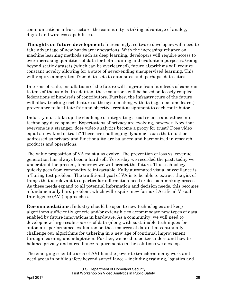communications infrastructure, the community is taking advantage of analog, digital and wireless capabilities.

**Thoughts on future development:** Increasingly, software developers will need to take advantage of new hardware innovations. With the increasing reliance on machine learning methods such as deep learning, developers will require access to ever-increasing quantities of data for both training and evaluation purposes. Going beyond static datasets (which can be overlearned), future algorithms will require constant novelty allowing for a state of never-ending unsupervised learning. This will require a migration from data-sets to data-sites and, perhaps, data-cities.

In terms of scale, installations of the future will migrate from hundreds of cameras to tens of thousands. In addition, these solutions will be based on loosely coupled federations of hundreds of contributors. Further, the infrastructure of the future will allow tracking each feature of the system along with its (e.g., machine learnt) provenance to facilitate fair and objective credit assignment to each contributor.

Industry must take up the challenge of integrating social science and ethics into technology development. Expectations of privacy are evolving, however. Now that everyone is a stranger, does video analytics become a proxy for trust? Does video equal a new kind of truth? These are challenging dynamic issues that must be addressed as privacy and functionality are balanced and harmonized in research, products and operations.

The value proposition of VA must also evolve. The prevention of loss vs. revenue generation has always been a hard sell. Yesterday we recorded the past, today we understand the present, tomorrow we will predict the future. This technology quickly goes from commodity to intractable. Fully automated visual surveillance is a Turing test problem. The traditional goal of VA is to be able to extract the gist of things that is relevant to a particular information need or decision-making process. As these needs expand to all potential information and decision needs, this becomes a fundamentally hard problem, which will require new forms of Artificial Visual Intelligence (AVI) approaches.

**Recommendations:** Industry should be open to new technologies and keep algorithms sufficiently generic and/or extensible to accommodate new types of data enabled by future innovations in hardware. As a community, we will need to develop new large-scale sources of data (along with sustainable techniques for automatic performance evaluation on these sources of data) that continually challenge our algorithms for ushering in a new age of continual improvement through learning and adaptation. Further, we need to better understand how to balance privacy and surveillance requirements in the solutions we develop.

The emerging scientific area of AVI has the power to transform many work and need areas in public safety beyond surveillance – including training, logistics and

> U.S. Department of Homeland Security First Workshop on Video Analytics in Public Safety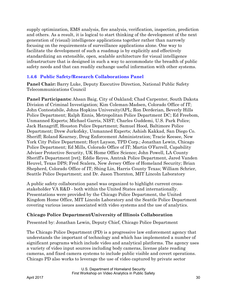supply optimization, EMS analysis, fire analysis, verification, inspection, prediction and others. As a result, it is logical to start thinking of the development of the next generation of (visual) intelligence applications together rather than narrowly focusing on the requirements of surveillance applications alone. One way to facilitate the development of such a roadmap is by explicitly and effectively standardizing an extensible, open, scalable architecture for visual intelligence infrastructure that is designed in such a way to accommodate the breadth of public safety needs and that can readily exchange useful information with other systems.

#### <span id="page-29-0"></span>**1.4.6 Public Safety/Research Collaborations Panel**

**Panel Chair:** Barry Luke, Deputy Executive Direction, National Public Safety Telecommunications Council

**Panel Participants:** Ahsan Baig, City of Oakland; Chad Carpenter, South Dakota Division of Criminal Investigation; Kim Coleman-Madsen, Colorado Office of IT; John Contestabile, Johns Hopkins University/APL; Ron Derderian, Beverly Hills Police Department; Ralph Ennis, Metropolitan Police Department DC; Ed Freebom, Unmanned Experts; Michael Garris, NIST; Charles Guddemi, U.S. Park Police; Jack Hanagriff, Houston Police Department; Samuel Hood, Baltimore Police Department; Drew Jurkofsky, Unmanned Experts; Ashish Kakkad, San Diego Co. Sheriff; Roland Kearney, Drug Enforcement Administration; Tracie Keesee, New York City Police Department; Hoyt Layson, TPD Corp.; Jonathan Lewin, Chicago Police Department; Ed Mills, Colorado Office of IT; Martin O'Farrell, Capability Adviser Protective Security, UK Home Office Science; John Powell, LA County Sheriff's Department [ret]; Eddie Reyes, Amtrak Police Department, Jared Vanden Heuvel, Texas DPS; Fred Scalera, New Jersey Office of Homeland Security; Brian Shepherd, Colorado Office of IT; Shing Lin, Harris County Texas; William Schrier, Seattle Police Department; and Dr. Jason Thornton, MIT Lincoln Laboratory

A public safety collaboration panel was organized to highlight current crossstakeholder VA R&D - both within the United States and internationally. Presentations were provided by the Chicago Police Department, the United Kingdom Home Office, MIT Lincoln Laboratory and the Seattle Police Department covering various issues associated with video systems and the use of analytics.

#### **Chicago Police Department/University of Illinois Collaboration**

Presented by: Jonathan Lewin, Deputy Chief, Chicago Police Department

The Chicago Police Department (PD) is a progressive law enforcement agency that understands the important of technology and which has implemented a number of significant programs which include video and analytical platforms. The agency uses a variety of video input sources including body cameras, license plate reading cameras, and fixed camera systems to include public visible and covert operations. Chicago PD also works to leverage the use of video captured by private sector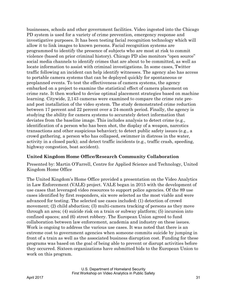businesses, schools and other government facilities. Video ingested into the Chicago PD system is used for a variety of crime prevention, emergency response and investigative purposes. It has been testing facial recognition technology which will allow it to link images to known persons. Facial recognition systems are programmed to identify the presence of subjects who are most at risk to commit violence (based on prior criminal history). Chicago PD also monitors "open source" social media channels to identify crimes that are about to be committed, as well as locate information to assist with criminal investigations. In some cases, Twitter traffic following an incident can help identify witnesses. The agency also has access to portable camera systems that can be deployed quickly for spontaneous or preplanned events. To test the effectiveness of camera systems, the agency embarked on a project to examine the statistical effect of camera placement on crime rate. It then worked to devise optimal placement strategies based on machine learning. Citywide, 2,143 cameras were examined to compare the crime rate preand post installation of the video system. The study demonstrated crime reduction between 17 percent and 22 percent over a 24-month period. Finally, the agency is studying the ability for camera systems to accurately detect information that deviates from the baseline image. This includes analysis to detect crime (e.g., identification of a person who has been shot, the display of a weapon, narcotics transactions and other suspicious behavior); to detect public safety issues (e.g., a crowd gathering, a person who has collapsed, swimmer in distress in the water, activity in a closed park); and detect traffic incidents (e.g., traffic crash, speeding, highway congestion, boat accident).

#### **United Kingdom Home Office/Research Community Collaboration**

Presented by: Martin O'Farrell, Centre for Applied Science and Technology, United Kingdom Home Office

The United Kingdom's Home Office provided a presentation on the Video Analytics in Law Enforcement (VALE) project. VALE began in 2015 with the development of use cases that leveraged video resources to support police agencies. Of the 89 use cases identified by first responders, six were selected as the most viable and were advanced for testing. The selected use cases included: (1) detection of crowd movement; (2) child abduction; (3) multi-camera tracking of persons as they move through an area; (4) suicide risk on a train or subway platform; (5) incursion into confined spaces; and (6) street robbery. The European Union agreed to fund collaboration between law enforcement, academia and industry on these issues. Work is ongoing to address the various use cases. It was noted that there is an extreme cost to government agencies when someone commits suicide by jumping in front of a train as well as the associated business disruption cost. Funding for these programs was based on the goal of being able to prevent or disrupt activities before they occurred. Sixteen organizations have submitted bids to the European Union to work on this program.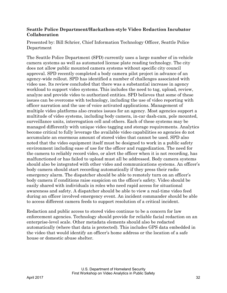#### **Seattle Police Department/Hackathon-style Video Redaction Incubator Collaboration**

Presented by: Bill Schrier, Chief Information Technology Officer, Seattle Police Department

The Seattle Police Department (SPD) currently uses a large number of in-vehicle camera systems as well as automated license plate reading technology. The city does not allow public mounted camera systems without specific city council approval. SPD recently completed a body camera pilot project in advance of an agency-wide rollout. SPD has identified a number of challenges associated with video use. Its review concluded that there was a substantial increase in agency workload to support video systems. This includes the need to tag, upload, review, analyze and provide video to authorized entities. SPD believes that some of these issues can be overcome with technology, including the use of video reporting with officer narration and the use of voice activated applications. Management of multiple video platforms also creates issues for an agency. Most agencies support a multitude of video systems, including body camera, in-car dash-cam, pole mounted, surveillance units, interrogation cell and others. Each of these systems may be managed differently with unique video tagging and storage requirements. Analytics become critical to fully leverage the available video capabilities so agencies do not accumulate an enormous amount of stored video that cannot be used. SPD also noted that the video equipment itself must be designed to work in a public safety environment including ease of use for the officer and ruggedization. The need for the camera to reliably record video, or alert the officer when it is not recording, has malfunctioned or has failed to upload must all be addressed. Body camera systems should also be integrated with other video and communications systems. An officer's body camera should start recording automatically if they press their radio emergency alarm. The dispatcher should be able to remotely turn on an officer's body camera if conditions raise suspicion on the officer's safety. Video should be easily shared with individuals in roles who need rapid access for situational awareness and safety. A dispatcher should be able to view a real-time video feed during an officer involved emergency event. An incident commander should be able to access different camera feeds to support resolution of a critical incident.

Redaction and public access to stored video continue to be a concern for law enforcement agencies. Technology should provide for reliable facial redaction on an enterprise-level scale. Other metadata elements should also be redacted automatically (where that data is protected). This includes GPS data embedded in the video that would identify an officer's home address or the location of a safe house or domestic abuse shelter.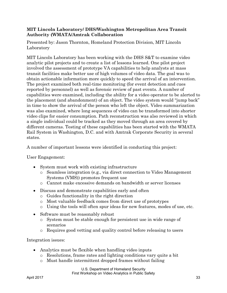#### **MIT Lincoln Laboratory/ DHS/Washington Metropolitan Area Transit Authority (WMATA/Amtrak Collaboration**

Presented by: Jason Thornton, Homeland Protection Division, MIT Lincoln Laboratory

MIT Lincoln Laboratory has been working with the DHS S&T to examine video analytic pilot projects and to create a list of lessons learned. One pilot project involved the assessment of prototype VA capabilities to help analysts at mass transit facilities make better use of high volumes of video data. The goal was to obtain actionable information more quickly to speed the arrival of an intervention. The project examined both real-time monitoring (for event detection and cues reported by personnel) as well as forensic review of past events. A number of capabilities were examined, including the ability for a video operator to be alerted to the placement (and abandonment) of an object. The video system would "jump back" in time to show the arrival of the person who left the object. Video summarization was also examined, where long sequences of video can be transformed into shorter video clips for easier consumption. Path reconstruction was also reviewed in which a single individual could be tracked as they moved through an area covered by different cameras. Testing of these capabilities has been started with the WMATA Rail System in Washington, D.C. and with Amtrak Corporate Security in several states.

A number of important lessons were identified in conducting this project:

User Engagement:

- System must work with existing infrastructure
	- o Seamless integration (e.g., via direct connection to Video Management Systems (VMS)) promotes frequent use
	- o Cannot make excessive demands on bandwidth or server licenses
- Discuss and demonstrate capabilities early and often
	- o Guides functionality in the right direction
	- o Most valuable feedback comes from direct use of prototypes
	- o Using the tools will often spur ideas for new features, modes of use, etc.
- Software must be reasonably robust
	- o System must be stable enough for persistent use in wide range of scenarios
	- o Requires good vetting and quality control before releasing to users

Integration issues:

- Analytics must be flexible when handling video inputs
	- o Resolutions, frame rates and lighting conditions vary quite a bit
	- o Must handle intermittent dropped frames without failing

U.S. Department of Homeland Security First Workshop on Video Analytics in Public Safety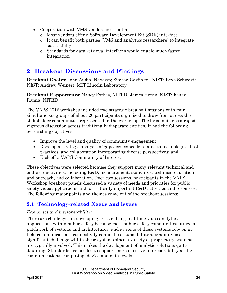- Cooperation with VMS vendors is essential
	- o Most vendors offer a Software Development Kit (SDK) interface
	- o It can benefit both parties (VMS and analytics researchers) to integrate successfully
	- o Standards for data retrieval interfaces would enable much faster integration

### <span id="page-33-0"></span>**2 Breakout Discussions and Findings**

**Breakout Chairs:** John Audia, Navarro; Simson Garfinkel, NIST; Reva Schwartz, NIST; Andrew Weinert, MIT Lincoln Laboratory

**Breakout Rapporteurs:** Nancy Forbes, NITRD; James Horan, NIST; Fouad Ramia, NITRD

The VAPS 2016 workshop included two strategic breakout sessions with four simultaneous groups of about 20 participants organized to draw from across the stakeholder communities represented in the workshop. The breakouts encouraged vigorous discussion across traditionally disparate entities. It had the following overarching objectives:

- Improve the level and quality of community engagement;
- Develop a strategic analysis of gaps/issues/needs related to technologies, best practices, and collaboration incorporating diverse perspectives; and
- Kick off a VAPS Community of Interest.

These objectives were selected because they support many relevant technical and end-user activities, including R&D, measurement, standards, technical education and outreach, and collaboration. Over two sessions, participants in the VAPS Workshop breakout panels discussed a variety of needs and priorities for public safety video applications and for critically important R&D activities and resources. The following major points and themes came out of the breakout sessions:

### <span id="page-33-1"></span>**2.1 Technology-related Needs and Issues**

#### *Economics and interoperability:*

There are challenges in developing cross-cutting real-time video analytics applications within public safety because most public safety communities utilize a patchwork of systems and architectures, and as some of these systems rely on infield communications, connectivity cannot be assumed. Interoperability is a significant challenge within these systems since a variety of proprietary systems are typically involved. This makes the development of analytic solutions quite daunting. Standards are needed to support more effective interoperability at the communications, computing, device and data levels.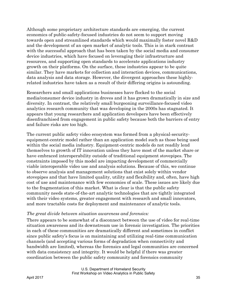Although some proprietary architecture standards are emerging, the current economics of public-safety-focused industries do not seem to support moving towards open and streamlined standards which would maximally foster novel R&D and the development of an open market of analytic tools. This is in stark contrast with the successful approach that has been taken by the social media and consumer device industries, which have focused on leveraging their infrastructure and resources, and supporting open standards to accelerate applications industry growth on their platforms. On the surface, these industries appear to be quite similar. They have markets for collection and interaction devices, communications, data analysis and data storage. However, the divergent approaches these highlyrelated industries have taken as a result of their differing origins is astounding.

Researchers and small applications businesses have flocked to the social media/consumer device industry in droves and it has grown dramatically in size and diversity. In contrast, the relatively small burgeoning surveillance-focused video analytics research community that was developing in the 2000s has stagnated. It appears that young researchers and application developers have been effectively disenfranchised from engagement in public safety because both the barriers of entry and failure risks are too high.

The current public safety video ecosystem was formed from a physical-securityequipment-centric model rather than an application model such as those being used within the social media industry. Equipment-centric models do not readily lend themselves to growth of IT innovation unless they have most of the market share or have embraced interoperability outside of traditional equipment stovepipes. The constraints imposed by this model are impacting development of commercially viable interoperable video use and analysis solutions. Because of this, we continue to observe analysis and management solutions that exist solely within vendor stovepipes and that have limited quality, utility and flexibility and, often, have high cost of use and maintenance with few economies of scale. These issues are likely due to the fragmentation of this market. What is clear is that the public safety community needs state-of-the-art analytic technologies that are tightly integrated with their video systems, greater engagement with research and small innovators, and more tractable costs for deployment and maintenance of analytic tools.

#### *The great divide between situation awareness and forensics:*

There appears to be somewhat of a disconnect between the use of video for real-time situation awareness and its downstream use in forensic investigation. The priorities in each of these communities are dramatically different and sometimes in conflict since public safety's focus is on maintaining and utilizing real-time communication channels (and accepting various forms of degradation when connectivity and bandwidth are limited), whereas the forensics and legal communities are concerned with data consistency and integrity. It would be helpful if there was greater coordination between the public safety community and forensics community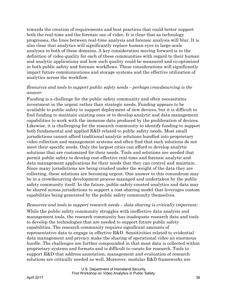towards the creation of requirements and best practices that could better support both the real-time and the forensic use of video. It is clear that as technology progresses, the lines between real-time analysis and forensic analysis will blur. It is also clear that analytics will significantly replace human eyes in large-scale analyses in both of these domains. A key consideration moving forward is in the definition of video quality for each of these communities with regard to their human and analytic applications and how such quality could be measured and co-optimized in both public safety and forensic workflows. These considerations will significantly impact future communications and storage systems and the effective utilization of analytics across the workflow.

#### *Resources and tools to support public safety needs – perhaps crowdsourcing is the answer:*

Funding is a challenge for the public safety community and often necessitates investment in the urgent rather than strategic needs. Funding appears to be available to public safety to support deployment of new devices, but it is difficult to find funding to maintain existing ones or to develop analytic and data management capabilities to work with the immense data produced by the proliferation of devices. Likewise, it is challenging for the research community to identify funding to support both fundamental and applied R&D related to public safety needs. Most small jurisdictions cannot afford traditional analytic solutions bundled into proprietary video collection and management systems and often find that such solutions do not meet their specific needs. Only the largest cities can afford to develop analytic solutions that are customized for their needs. Tools and solutions are needed that permit public safety to develop cost-effective real-time and forensic analytic and data management applications for their needs that they can control and maintain. Since many jurisdictions are being crushed under the weight of the data they are collecting, these solutions are becoming urgent. One answer to this conundrum may be in a crowdsourcing development process managed and undertaken by the public safety community itself. In the future, public-safety-created analytics and data may be shared across jurisdictions to support a cost-sharing model that leverages custom capabilities being generated by the public safety community themselves.

#### *Resources and tools to support research needs – data sharing is critically important:*

While the public safety community struggles with ineffective data analysis and management tools, the research community has inadequate research data and tools to develop the technologies that are needed to support future public safety capabilities. The research community requires significant amounts of representative data to engage in effective R&D. Sensitivities related to evidential data management and privacy make the sharing of operational video an enormous hurdle. The challenges are further compounded in that most data is collected within proprietary systems and formats and is difficult to curate for research. Tools to support R&D that address annotation, management and evaluation of research solutions are critically needed as well. Moreover, modular R&D frameworks are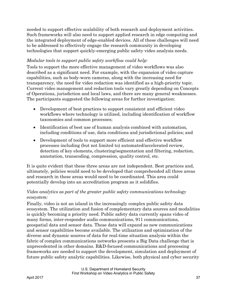needed to support effective scalability of both research and deployment activities. Such frameworks will also need to support applied research in edge computing and the integrated deployment of edge-enabled devices. All of these challenges will need to be addressed to effectively engage the research community in developing technologies that support quickly-emerging public safety video analysis needs.

#### *Modular tools to support public safety workflow could help:*

Tools to support the more effective management of video workflows was also described as a significant need. For example, with the expansion of video capture capabilities, such as body-worn cameras, along with the increasing need for transparency, the need for video redaction was identified as a high-priority topic. Current video management and redaction tools vary greatly depending on Concepts of Operations, jurisdiction and local laws, and there are many general weaknesses. The participants suggested the following areas for further investigation:

- Development of best practices to support consistent and efficient video workflows where technology is utilized, including identification of workflow taxonomies and common processes;
- Identification of best use of human analysis combined with automation, including conditions of use, data conditions and jurisdictional policies; and
- Development of tools to support more efficient and effective workflow processes including (but not limited to) automated/accelerated review, detection of key elements, clustering/segmentation and filtering, redaction, annotation, transcoding, compression, quality control, etc.

It is quite evident that these three areas are not independent. Best practices and, ultimately, policies would need to be developed that comprehended all three areas and research in these areas would need to be coordinated. This area could potentially develop into an accreditation program as it solidifies.

#### *Video analytics as part of the greater public safety communications technology ecosystem:*

Finally, video is not an island in the increasingly complex public safety data ecosystem. The utilization and fusion of complementary data sources and modalities is quickly becoming a priority need. Public safety data currently spans video of many forms, inter-responder audio communications, 911 communications, geospatial data and sensor data. These data will expand as new communications and sensor capabilities become available. The utilization and optimization of the diverse and dynamic sources of data for real-time situation analysis within the fabric of complex communications networks presents a Big Data challenge that is unprecedented in other domains. R&D-focused communications and processing frameworks are needed to support the development, simulation and deployment of future public safety analytic capabilities. Likewise, both physical and cyber security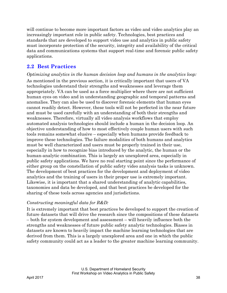will continue to become more important factors as video and video analytics play an increasingly important role in public safety. Technologies, best practices and standards that are developed to support video use and analytics in public safety must incorporate protection of the security, integrity and availability of the critical data and communications systems that support real-time and forensic public safety applications.

### <span id="page-37-0"></span>**2.2 Best Practices**

*Optimizing analytics in the human decision loop and humans in the analytics loop:* As mentioned in the previous section, it is critically important that users of VA technologies understand their strengths and weaknesses and leverage them appropriately. VA can be used as a force multiplier where there are not sufficient human eyes on video and in understanding geographic and temporal patterns and anomalies. They can also be used to discover forensic elements that human eyes cannot readily detect. However, these tools will not be perfected in the near future and must be used carefully with an understanding of both their strengths and weaknesses. Therefore, virtually all video analysis workflows that employ automated analysis technologies should include a human in the decision loop. An objective understanding of how to most effectively couple human users with such tools remains somewhat elusive – especially when humans provide feedback to improve these technologies. The failure modalities of both humans and analytics must be well characterized and users must be properly trained in their use, especially in how to recognize bias introduced by the analytic, the human or the human-analytic combination. This is largely an unexplored area, especially in public safety applications. We have no real starting point since the performance of either group on the constellation of public safety video analysis tasks is unknown. The development of best practices for the development and deployment of video analytics and the training of users in their proper use is extremely important. Likewise, it is important that a shared understanding of analytic capabilities, taxonomies and data be developed, and that best practices be developed for the sharing of these tools across agencies and jurisdictions.

#### *Constructing meaningful data for R&D:*

It is extremely important that best practices be developed to support the creation of future datasets that will drive the research since the compositions of these datasets – both for system development and assessment – will heavily influence both the strengths and weaknesses of future public safety analytic technologies. Biases in datasets are known to heavily impact the machine learning technologies that are derived from them. This is a largely unexplored area and one in which the public safety community could act as a leader to the greater machine learning community.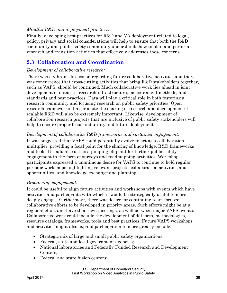#### *Mindful R&D and deployment practices:*

Finally, developing best practices for R&D and VA deployment related to legal, policy, privacy and social considerations will help to ensure that both the R&D community and public safety community understands how to plan and perform research and transition activities that effectively addresses these concerns.

### <span id="page-38-0"></span>**2.3 Collaboration and Coordination**

#### *Development of collaborative research:*

There was a vibrant discussion regarding future collaborative activities and there was concurrence that cross-cutting activities that bring R&D stakeholders together, such as VAPS, should be continued. Much collaborative work lies ahead in joint development of datasets, research infrastructure, measurement methods, and standards and best practices. Data will play a critical role in both fostering a research community and focusing research on public safety priorities. Open research frameworks that promote the sharing of research and development of scalable R&D will also be extremely important. Likewise, development of collaboration research projects that are inclusive of public safety stakeholders will help to ensure proper focus and utility and future deployment.

#### *Development of collaborative R&D frameworks and sustained engagement:*

It was suggested that VAPS could potentially evolve to act as a collaboration multiplier, providing a focal point for the sharing of knowledge, R&D frameworks and tools. It could also act as a jumping-off point for further public safety engagement in the form of surveys and roadmapping activities. Workshop participants expressed a unanimous desire for VAPS to continue to hold regular periodic workshops highlighting relevant projects, collaboration activities and opportunities, and knowledge exchange and planning.

#### *Broadening engagement:*

It could be useful to align future activities and workshops with events which have activities and participants with which it would be strategically useful to more deeply engage. Furthermore, there was desire for continuing team-focused collaborative efforts to be developed in priority areas. Such efforts might be at a regional effort and have their own meetings, as well between major VAPS events. Collaborative work could include the development of datasets, methodologies, resource catalogs, frameworks, tools and best practices. Future VAPS workshops and activities might also expand participation to more greatly include:

- Strategic mix of large and small public safety organizations;
- Federal, state and local government agencies;
- National laboratories and Federally Funded Research and Development Centers;
- Federal and state fusion centers;

U.S. Department of Homeland Security First Workshop on Video Analytics in Public Safety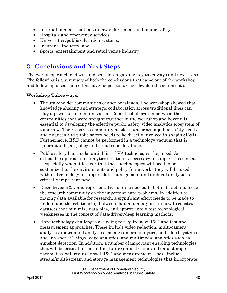- International associations in law enforcement and public safety;
- Hospitals and emergency services;
- Universities/public education systems;
- Insurance industry; and
- Sports, entertainment and retail venue industry.

### <span id="page-39-0"></span>**3 Conclusions and Next Steps**

The workshop concluded with a discussion regarding key takeaways and next steps. The following is a summary of both the conclusions that came out of the workshop and follow-up discussions that have helped to further develop these concepts.

#### **Workshop Takeaways:**

- The stakeholder communities cannot be islands. The workshop showed that knowledge sharing and strategic collaboration across traditional lines can play a powerful role in innovation. Robust collaboration between the communities that were brought together in the workshop and beyond is essential to developing the effective public safety video analytics ecosystem of tomorrow. The research community needs to understand public safety needs and nuances and public safety needs to be directly involved in shaping R&D. Furthermore, R&D cannot be performed in a technology vacuum that is ignorant of legal, policy and social considerations.
- Public safety has a substantial list of VA technologies they need. An extensible approach to analytics creation is necessary to support these needs – especially when it is clear that these technologies will need to be customized to the environments and policy frameworks they will be used within. Technology to support data management and archival analysis is critically important now.
- Data drives R&D and representative data is needed to both attract and focus the research community on the important hard problems. In addition to making data available for research, a significant effort needs to be made to understand the relationship between data and analytics, in how to construct datasets that minimize data bias, and appropriately test technological weaknesses in the context of data-driven/deep learning methods.
- Hard technology challenges are going to require new R&D and test and measurement approaches. These include video redaction, multi-camera analytics, distributed analytics, mobile camera analytics, embedded systems and Internet of Things, edge analytics, and multimodal analytics such as gunshot detection. In addition, a number of important enabling technologies that will be critical in controlling future data streams and data storage parameters will require novel R&D and measurement. These include stream/multi-stream and storage management technologies that incorporate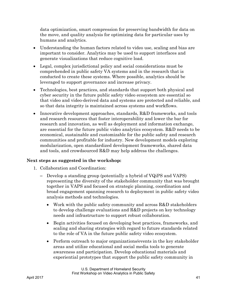data optimization, smart compression for preserving bandwidth for data on the move, and quality analysis for optimizing data for particular uses by humans and analytics.

- Understanding the human factors related to video use, scaling and bias are important to consider. Analytics may be used to support interfaces and generate visualizations that reduce cognitive load.
- Legal, complex jurisdictional policy and social considerations must be comprehended in public safety VA systems and in the research that is conducted to create these systems. Where possible, analytics should be leveraged to support governance and increase privacy.
- Technologies, best practices, and standards that support both physical and cyber security in the future public safety video ecosystem are essential so that video and video-derived data and systems are protected and reliable, and so that data integrity is maintained across systems and workflows.
- Innovative development approaches, standards, R&D frameworks, and tools and research resources that foster interoperability and lower the bar for research and innovation, as well as deployment and information exchange, are essential for the future public video analytics ecosystem. R&D needs to be economical, sustainable and customizable for the public safety and research communities and profitable for industry. New development models exploring modularization, open standardized development frameworks, shared data and tools, and crowdsourced R&D may help address the challenges.

#### **Next steps as suggested in the workshop:**

- 1. Collaboration and Coordination:
	- Develop a standing group (potentially a hybrid of VQiPS and VAPS) representing the diversity of the stakeholder community that was brought together in VAPS and focused on strategic planning, coordination and broad engagement spanning research to deployment in public safety video analysis methods and technologies.
		- Work with the public safety community and across R&D stakeholders to develop challenge evaluations and R&D projects on key technology needs and infrastructure to support robust collaboration.
		- Begin activities focused on developing best practices, frameworks, and scaling and sharing strategies with regard to future standards related to the role of VA in the future public safety video ecosystem.
		- Perform outreach to major organizations/events in the key stakeholder areas and utilize educational and social media tools to generate awareness and participation. Develop educational materials and experiential prototypes that support the public safety community in